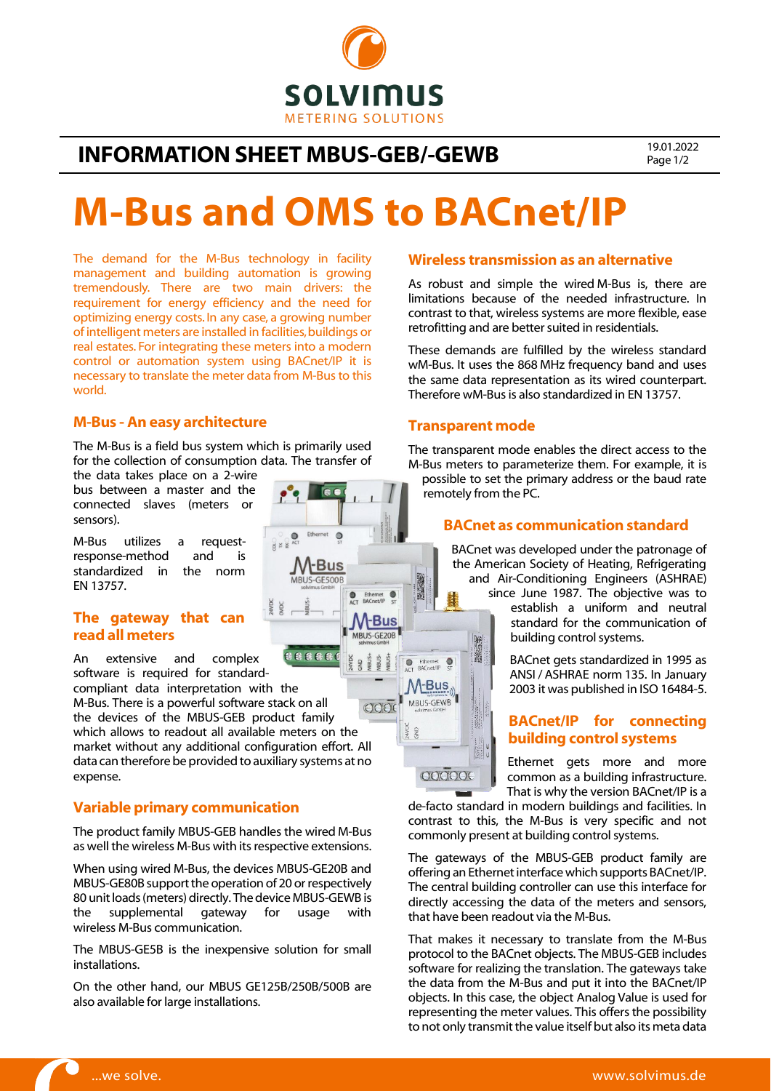

# INFORMATION SHEET MBUS-GEB/-GEWB 19.01.2022

Page 1/2

# M-Bus and OMS to BACnet/IP

60

 $ext$   $\odot$ 

Ethernet<br>BACnet/IP **-Bus** MBUS-GE20B

**M-Bus** MBUS-GE500B

 $\circ$ 

The demand for the M-Bus technology in facility management and building automation is growing tremendously. There are two main drivers: the requirement for energy efficiency and the need for optimizing energy costs. In any case, a growing number of intelligent meters are installed in facilities, buildings or real estates. For integrating these meters into a modern control or automation system using BACnet/IP it is necessary to translate the meter data from M-Bus to this world.

#### M-Bus - An easy architecture

The M-Bus is a field bus system which is primarily used for the collection of consumption data. The transfer of

the data takes place on a 2-wire bus between a master and the connected slaves (meters or sensors).

M-Bus utilizes a requestresponse-method and is standardized in the norm EN 13757.

### The gateway that can read all meters

888881 An extensive and complex software is required for standardcompliant data interpretation with the M-Bus. There is a powerful software stack on all  $OOO$ the devices of the MBUS-GEB product family which allows to readout all available meters on the market without any additional configuration effort. All data can therefore be provided to auxiliary systems at no expense.

### Variable primary communication

The product family MBUS-GEB handles the wired M-Bus as well the wireless M-Bus with its respective extensions.

When using wired M-Bus, the devices MBUS-GE20B and MBUS-GE80B support the operation of 20 or respectively 80 unit loads (meters) directly. The device MBUS-GEWB is the supplemental gateway for usage with wireless M-Bus communication.

The MBUS-GE5B is the inexpensive solution for small installations.

On the other hand, our MBUS GE125B/250B/500B are also available for large installations.

#### Wireless transmission as an alternative

As robust and simple the wired M-Bus is, there are limitations because of the needed infrastructure. In contrast to that, wireless systems are more flexible, ease retrofitting and are better suited in residentials.

These demands are fulfilled by the wireless standard wM-Bus. It uses the 868 MHz frequency band and uses the same data representation as its wired counterpart. Therefore wM-Bus is also standardized in EN 13757.

#### Transparent mode

图案

Ethernet  $\circ$ 

 $M$ -Bus MBUS-GEWB

COOOCC

AVD<sub>1</sub>  $\frac{1}{2}$ 

The transparent mode enables the direct access to the M-Bus meters to parameterize them. For example, it is possible to set the primary address or the baud rate remotely from the PC.

### BACnet as communication standard

BACnet was developed under the patronage of the American Society of Heating, Refrigerating and Air-Conditioning Engineers (ASHRAE) since June 1987. The objective was to

establish a uniform and neutral standard for the communication of building control systems.

BACnet gets standardized in 1995 as ANSI / ASHRAE norm 135. In January 2003 it was published in ISO 16484-5.

## BACnet/IP for connecting building control systems

Ethernet gets more and more common as a building infrastructure. That is why the version BACnet/IP is a

de-facto standard in modern buildings and facilities. In contrast to this, the M-Bus is very specific and not commonly present at building control systems.

The gateways of the MBUS-GEB product family are offering an Ethernet interface which supports BACnet/IP. The central building controller can use this interface for directly accessing the data of the meters and sensors, that have been readout via the M-Bus.

That makes it necessary to translate from the M-Bus protocol to the BACnet objects. The MBUS-GEB includes software for realizing the translation. The gateways take the data from the M-Bus and put it into the BACnet/IP objects. In this case, the object Analog Value is used for representing the meter values. This offers the possibility to not only transmit the value itself but also its meta data